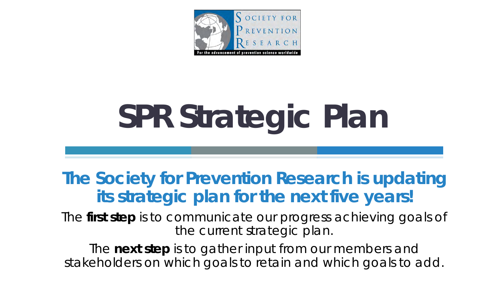

# **SPR Strategic Plan**

### **The Society for Prevention Research is updating its strategic plan for the next five years!**

The **first step** is to communicate our progress achieving goals of the current strategic plan.

The **next step** is to gather input from our members and stakeholders on which goals to retain and which goals to add.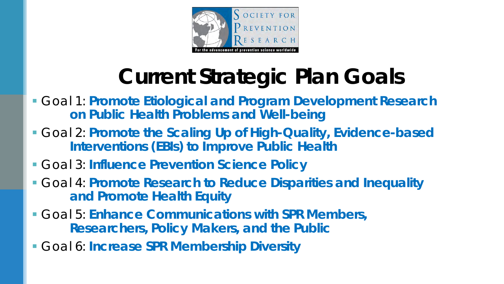

## **Current Strategic Plan Goals**

- Goal 1: **Promote Etiological and Program Development Research on Public Health Problems and Well-being**
- Goal 2: **Promote the Scaling Up of High-Quality, Evidence-based Interventions (EBIs) to Improve Public Health**
- Goal 3: **Influence Prevention Science Policy**
- Goal 4: **Promote Research to Reduce Disparities and Inequality and Promote Health Equity**
- Goal 5: **Enhance Communications with SPR Members, Researchers, Policy Makers, and the Public**
- Goal 6: **Increase SPR Membership Diversity**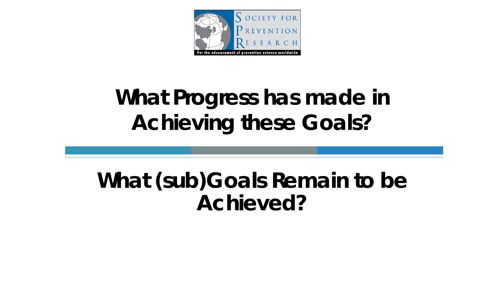

## **What Progress has made in Achieving these Goals?**

## **What (sub)Goals Remain to be Achieved?**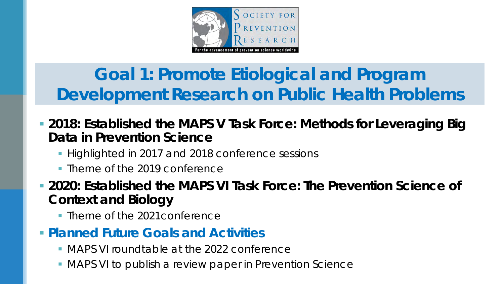

## **Goal 1: Promote Etiological and Program Development Research on Public Health Problems**

- **2018: Established the MAPS V Task Force:** *Methods for Leveraging Big Data in Prevention Science*
	- **Highlighted in 2017 and 2018 conference sessions**
	- **Theme of the 2019 conference**

 **2020: Established the MAPS VI Task Force:** *The Prevention Science of Context and Biology*

• Theme of the 2021 conference

### **Planned Future Goals and Activities**

- **MAPS VI roundtable at the 2022 conference**
- MAPS VI to publish a review paper in *Prevention Science*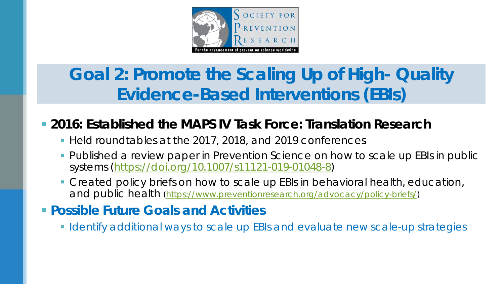

## **Goal 2: Promote the Scaling Up of High- Quality Evidence-Based Interventions (EBIs)**

### **2016: Established the MAPS IV Task Force:** *Translation Research*

- Held roundtables at the 2017, 2018, and 2019 conferences
- Published a review paper in *Prevention Science* on how to scale up EBIs in public systems [\(https://doi.org/10.1007/s11121-019-01048-8](https://doi.org/10.1007/s11121-019-01048-8))
- **Created policy briefs on how to scale up EBIs in behavioral health, education,** and public health [\(https://www.preventionresearch.org/advocacy/policy-briefs/](https://www.preventionresearch.org/advocacy/policy-briefs/))

### **Possible Future Goals and Activities**

**I** Identify additional ways to scale up EBIs and evaluate new scale-up strategies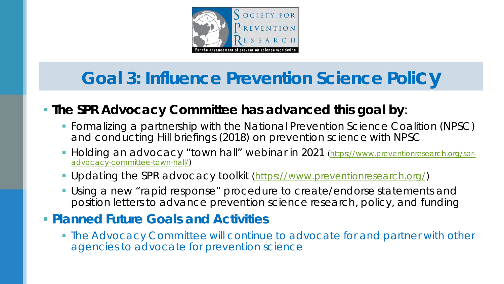

### **Goal 3: Influence Prevention Science Policy**

### **The SPR Advocacy Committee has advanced this goal by**:

- Formalizing a partnership with the National Prevention Science Coalition (NPSC) and conducting Hill briefings (2018) on prevention science with NPSC
- **Holding an advocacy "town hall" webinar in 2021** (https://www.preventionresearch.org/spradvocacy-committee-town-hall/)
- **Updating the SPR advocacy toolkit ([https://www.preventionresearch.org/\)](https://www.preventionresearch.org/)**
- Using a new "rapid response" procedure to create/endorse statements and position letters to advance prevention science research, policy, and funding

#### **Planned Future Goals and Activities**

 The Advocacy Committee will continue to advocate for and partner with other agencies to advocate for prevention science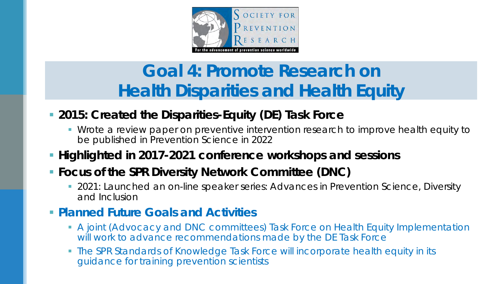

## **Goal 4: Promote Research on Health Disparities and Health Equity**

#### **2015: Created the Disparities-Equity (DE) Task Force**

**Wrote a review paper on preventive intervention research to improve health equity to** be published in *Prevention Science* in 2022

#### **Highlighted in 2017-2021 conference workshops and sessions**

#### **Focus of the SPR Diversity Network Committee (DNC)**

 2021: Launched an on-line speaker series*: Advances in Prevention Science, Diversity and Inclusion*

#### **Planned Future Goals and Activities**

- A joint (Advocacy and DNC committees) Task Force on Health Equity Implementation will work to advance recommendations made by the DE Task Force
- The SPR Standards of Knowledge Task Force will incorporate health equity in its guidance for training prevention scientists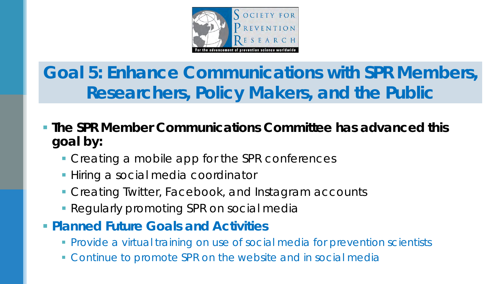

**Goal 5: Enhance Communications with SPR Members, Researchers, Policy Makers, and the Public**

- **The SPR Member Communications Committee has advanced this goal by:** 
	- **Creating a mobile app for the SPR conferences**
	- **Hiring a social media coordinator**
	- **Creating Twitter, Facebook, and Instagram accounts**
	- **Regularly promoting SPR on social medial**
- **Planned Future Goals and Activities**
	- Provide a virtual training on use of social media for prevention scientists
	- Continue to promote SPR on the website and in social media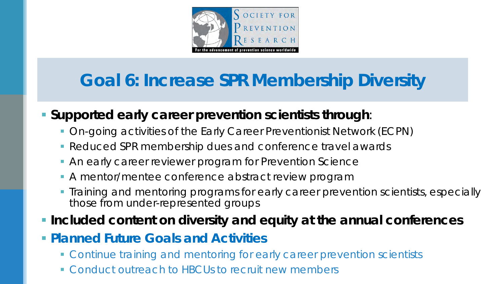

## **Goal 6: Increase SPR Membership Diversity**

#### **Supported early career prevention scientists through**:

- On-going activities of the Early Career Preventionist Network (ECPN)
- **Reduced SPR membership dues and conference travel awards**
- An early career reviewer program for *Prevention Science*
- **A mentor/mentee conference abstract review program**
- **Training and mentoring programs for early career prevention scientists, especially** those from under-represented groups

**Included content on diversity and equity at the annual conferences**

- **Planned Future Goals and Activities**
	- **Continue training and mentoring for early career prevention scientists**
	- **Conduct outreach to HBCUs to recruit new members**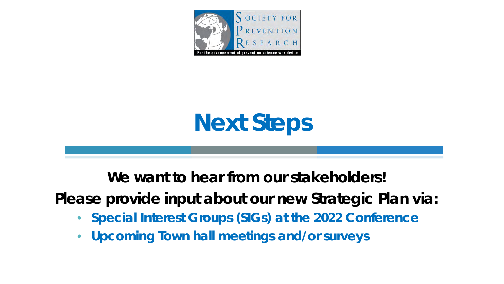

# **Next Steps**

**We want to hear from our stakeholders!**

**Please provide input about our new Strategic Plan** *via***:** 

- **Special Interest Groups (SIGs) at the 2022 Conference**
- **Upcoming Town hall meetings and/or surveys**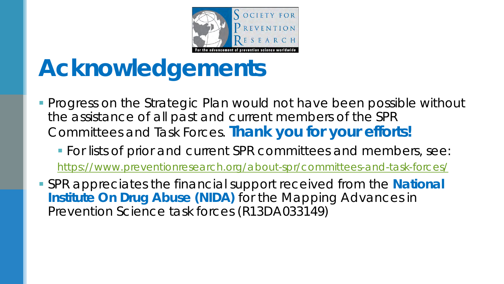

## **Acknowledgements**

- **Progress on the Strategic Plan would not have been possible without** the assistance of all past and current members of the SPR Committees and Task Forces. **Thank you for your efforts!**
	- **For lists of prior and current SPR committees and members, see:** <https://www.preventionresearch.org/about-spr/committees-and-task-forces/>
- SPR appreciates the financial support received from the **National Institute On Drug Abuse (NIDA)** for the Mapping Advances in Prevention Science task forces (R13DA033149)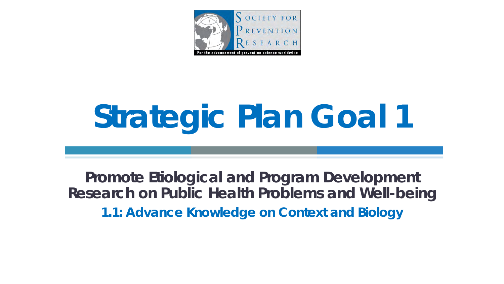

# **Strategic Plan Goal 1**

**Promote Etiological and Program Development Research on Public Health Problems and Well-being 1.1: Advance Knowledge on Context and Biology**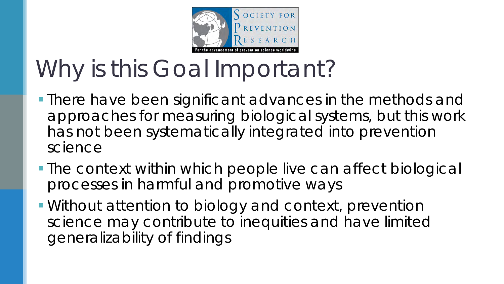

# Why is this Goal Important?

- **There have been significant advances in the methods and** approaches for measuring biological systems, but this work has not been systematically integrated into prevention science
- **The context within which people live can affect biological** processes in harmful and promotive ways
- Without attention to biology and context, prevention science may contribute to inequities and have limited generalizability of findings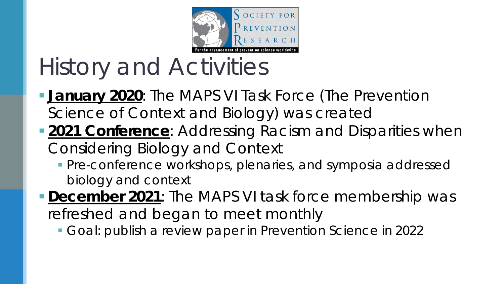

# History and Activities

- **January 2020: The MAPS VI Task Force (The Prevention** Science of Context and Biology*)* was created
- **2021 Conference**: *Addressing Racism and Disparities when Considering Biology and Context*
	- **Pre-conference workshops, plenaries, and symposia addressed** biology and context
- **December 2021**: The MAPS VI task force membership was refreshed and began to meet monthly
	- Goal: publish a review paper in *Prevention Science* in 2022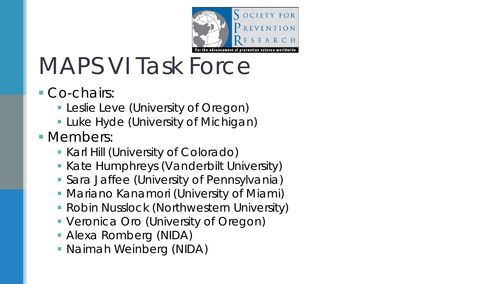

# MAPS VI Task Force

- Co-chairs:
	- **Leslie Leve (University of Oregon)**
	- **Luke Hyde (University of Michigan)**
- **Nembers:** 
	- **Karl Hill (University of Colorado)**
	- **Kate Humphreys (Vanderbilt University)**
	- Sara Jaffee (University of Pennsylvania)
	- **Mariano Kanamori (University of Miami)**
	- **Robin Nusslock (Northwestern University)**
	- **Veronica Oro (University of Oregon)**
	- Alexa Romberg (NIDA)
	- Naimah Weinberg (NIDA)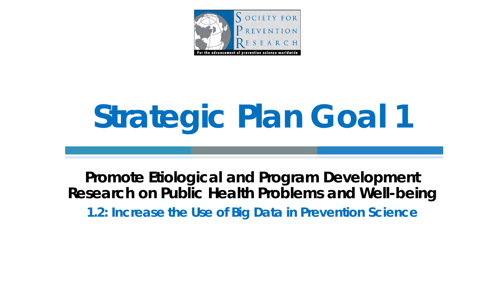

# **Strategic Plan Goal 1**

**Promote Etiological and Program Development Research on Public Health Problems and Well-being 1.2: Increase the Use of Big Data in Prevention Science**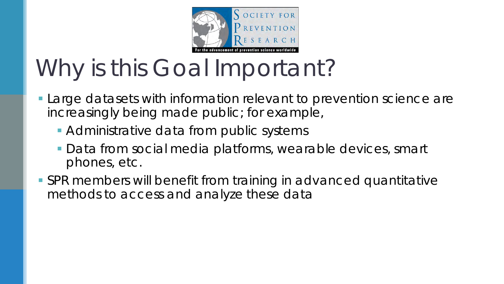

# Why is this Goal Important?

- Large datasets with information relevant to prevention science are increasingly being made public; for example,
	- **Administrative data from public systems**
	- Data from social media platforms, wearable devices, smart phones, etc.
- SPR members will benefit from training in advanced quantitative methods to access and analyze these data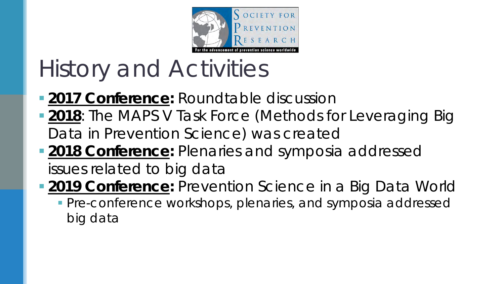

# History and Activities

- **2017 Conference: Roundtable discussion**
- **2018**: The MAPS V Task Force (Methods for Leveraging Big Data in Prevention Science) was created
- **2018 Conference:** Plenaries and symposia addressed issues related to big data
- **2019 Conference:** *Prevention Science in a Big Data World* **Pre-conference workshops, plenaries, and symposia addressed** big data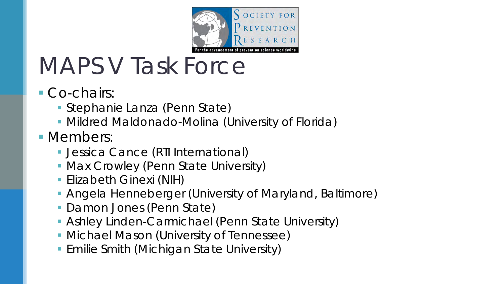

# MAPS V Task Force

- Co-chairs:
	- Stephanie Lanza (Penn State)
	- Mildred Maldonado-Molina (University of Florida)
- **Nembers:** 
	- **Jessica Cance (RTI International)**
	- **Max Crowley (Penn State University)**
	- **Elizabeth Ginexi (NIH)**
	- Angela Henneberger (University of Maryland, Baltimore)
	- **Damon Jones (Penn State)**
	- Ashley Linden-Carmichael (Penn State University)
	- **Michael Mason (University of Tennessee)**
	- **Emilie Smith (Michigan State University)**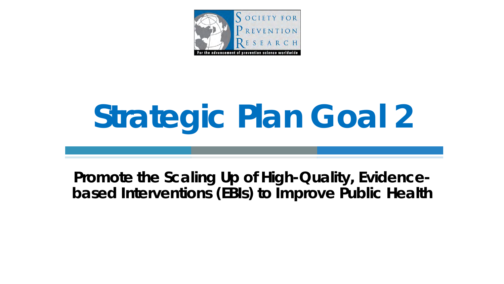

# **Strategic Plan Goal 2**

**Promote the Scaling Up of High-Quality, Evidencebased Interventions (EBIs) to Improve Public Health**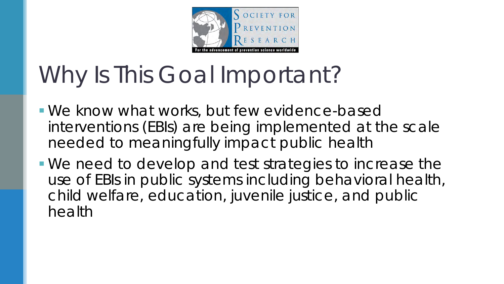

# Why Is This Goal Important?

- We know what works, but few evidence-based interventions (EBIs) are being implemented at the scale needed to meaningfully impact public health
- We need to develop and test strategies to increase the use of EBIs in public systems including behavioral health, child welfare, education, juvenile justice, and public health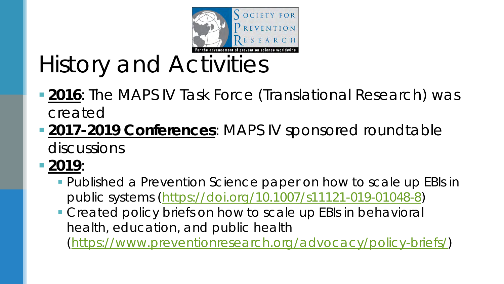

History and Activities

- **2016**: The MAPS IV Task Force (Translational Research) was created
- **2017-2019 Conferences: MAPS IV sponsored roundtable** discussions
- **2019**:
	- Published a *Prevention Science* paper on how to scale up EBIs in public systems (<https://doi.org/10.1007/s11121-019-01048-8>)
	- **Created policy briefs on how to scale up EBIs in behavioral** health, education, and public health [\(https://www.preventionresearch.org/advocacy/policy-briefs/\)](https://www.preventionresearch.org/advocacy/policy-briefs/)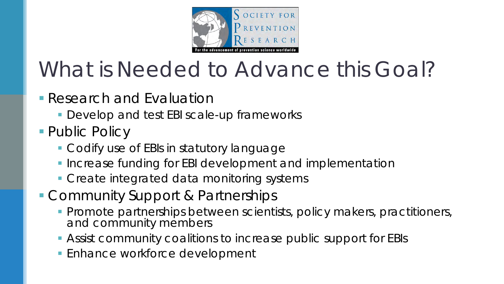

## What is Needed to Advance this Goal?

- **Research and Evaluation** 
	- **Develop and test EBI scale-up frameworks**
- Public Policy
	- Codify use of EBIs in statutory language
	- **Increase funding for EBI development and implementation**
	- **Create integrated data monitoring systems**
- **Community Support & Partnerships** 
	- **Promote partnerships between scientists, policy makers, practitioners,** and community members
	- Assist community coalitions to increase public support for EBIs
	- **Enhance workforce development**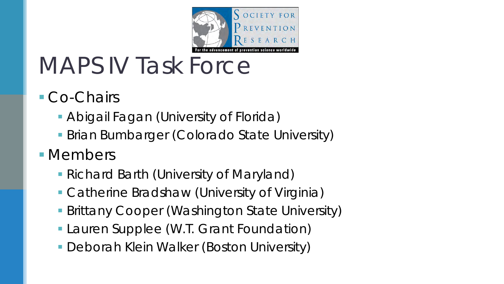

## MAPS IV Task Force

- Co-Chairs
	- **Abigail Fagan (University of Florida)**
	- **Brian Bumbarger (Colorado State University)**
- **Nembers** 
	- Richard Barth (University of Maryland)
	- Catherine Bradshaw (University of Virginia)
	- **Brittany Cooper (Washington State University)**
	- **Lauren Supplee (W.T. Grant Foundation)**
	- **Deborah Klein Walker (Boston University)**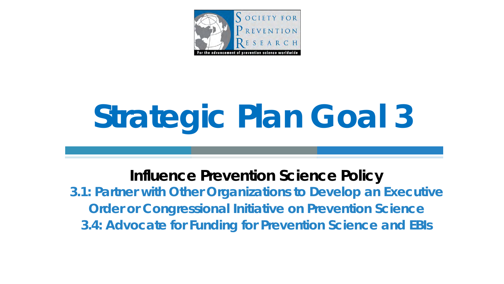

# **Strategic Plan Goal 3**

**Influence Prevention Science Policy 3.1: Partner with Other Organizations to Develop an Executive Order or Congressional Initiative on Prevention Science 3.4: Advocate for Funding for Prevention Science and EBIs**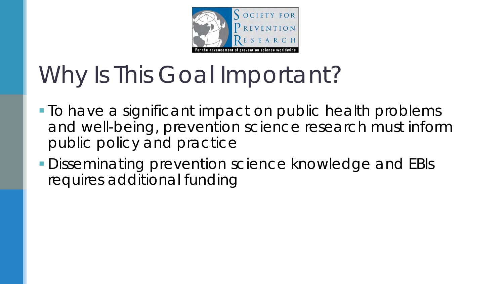

# Why Is This Goal Important?

- **To have a significant impact on public health problems** and well-being, prevention science research must inform public policy and practice
- **Disseminating prevention science knowledge and EBIs** requires additional funding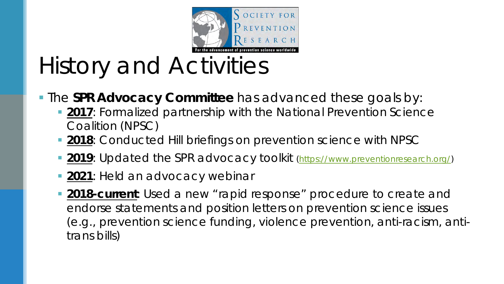

# History and Activities

- **The SPR Advocacy Committee** has advanced these goals by:
	- **2017**: Formalized partnership with the National Prevention Science Coalition (NPSC)
	- **2018**: Conducted Hill briefings on prevention science with NPSC
	- **2019**: Updated the SPR advocacy toolkit ([https://www.preventionresearch.org/\)](https://www.preventionresearch.org/)
	- **2021**: Held an advocacy webinar
	- **2018-current**: Used a new "rapid response" procedure to create and endorse statements and position letters on prevention science issues (e.g., prevention science funding, violence prevention, anti-racism, antitrans bills)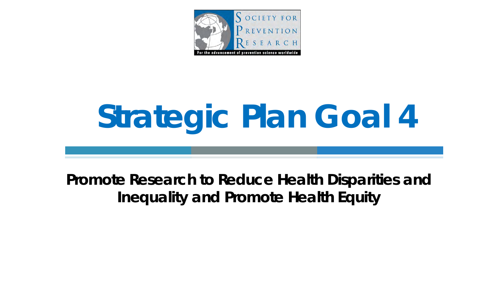

# **Strategic Plan Goal 4**

**Promote Research to Reduce Health Disparities and Inequality and Promote Health Equity**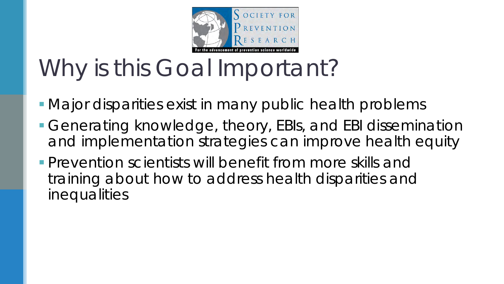

# Why is this Goal Important?

- **Major disparities exist in many public health problems**
- Generating knowledge, theory, EBIs, and EBI dissemination and implementation strategies can improve health equity
- **Prevention scientists will benefit from more skills and** training about how to address health disparities and inequalities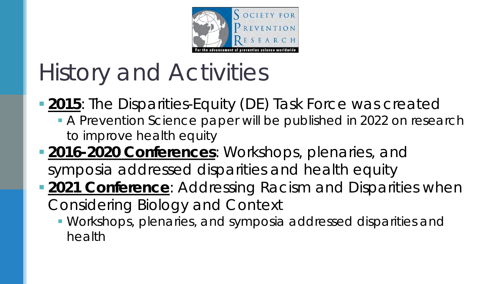

# History and Activities

**2015**: The Disparities-Equity (DE) Task Force was created

- A *Prevention Science* paper will be published in 2022 on research to improve health equity
- **2016-2020 Conferences:** Workshops, plenaries, and symposia addressed disparities and health equity
- **2021 Conference**: Add*ressing Racism and Disparities when Considering Biology and Context*
	- Workshops, plenaries, and symposia addressed disparities and health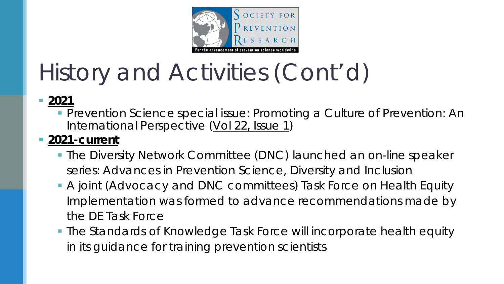

# History and Activities (Cont'd)

#### **2021**

 *Prevention Science* special issue: *Promoting a Culture of Prevention: An International Perspective* ([Vol 22, Issue 1\)](https://link.springer.com/journal/11121/volumes-and-issues/22-1)

#### **2021-current**

- The Diversity Network Committee (DNC) launched an on-line speaker series*: Advances in Prevention Science, Diversity and Inclusion*
- A joint (Advocacy and DNC committees) Task Force on Health Equity Implementation was formed to advance recommendations made by the DE Task Force
- The Standards of Knowledge Task Force will incorporate health equity in its guidance for training prevention scientists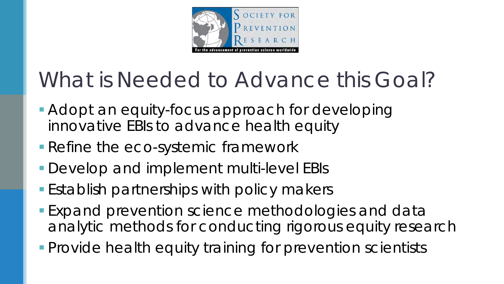

## What is Needed to Advance this Goal?

- Adopt an equity-focus approach for developing innovative EBIs to advance health equity
- **Refine the eco-systemic framework**
- **Develop and implement multi-level EBIs**
- **Establish partnerships with policy makers**
- **Expand prevention science methodologies and data** analytic methods for conducting rigorous equity research
- **Provide health equity training for prevention scientists**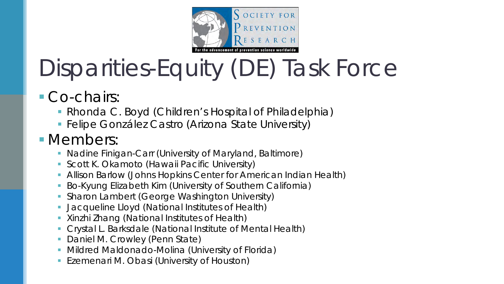

# Disparities-Equity (DE) Task Force

- Co-chairs:
	- Rhonda C. Boyd (Children's Hospital of Philadelphia)
	- **Felipe González Castro (Arizona State University)**

### **Nembers:**

- Nadine Finigan-Carr (University of Maryland, Baltimore)
- Scott K. Okamoto (Hawaii Pacific University)
- Allison Barlow (Johns Hopkins Center for American Indian Health)
- Bo-Kyung Elizabeth Kim (University of Southern California)
- **Sharon Lambert (George Washington University)**
- Jacqueline Lloyd (National Institutes of Health)
- Xinzhi Zhang (National Institutes of Health)
- Crystal L. Barksdale (National Institute of Mental Health)
- Daniel M. Crowley (Penn State)
- Mildred Maldonado-Molina (University of Florida)
- Ezemenari M. Obasi (University of Houston)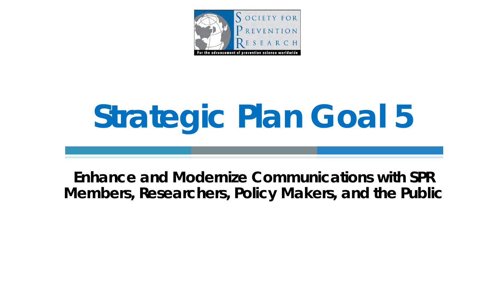

# **Strategic Plan Goal 5**

**Enhance and Modernize Communications with SPR Members, Researchers, Policy Makers, and the Public**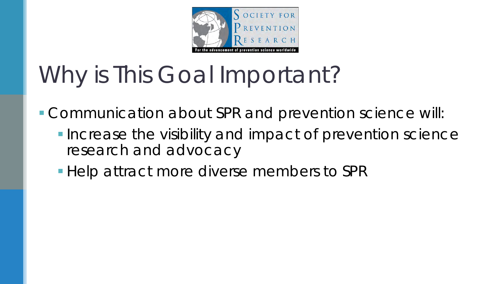

# Why is This Goal Important?

Communication about SPR and prevention science will:

- **Increase the visibility and impact of prevention science** research and advocacy
- Help attract more diverse members to SPR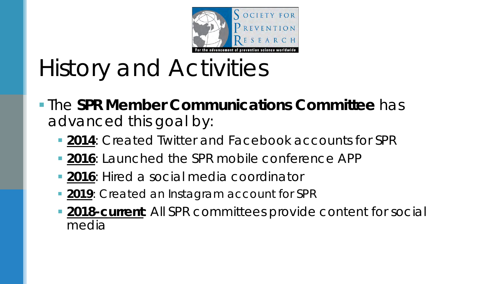

# History and Activities

 The **SPR Member Communications Committee** has advanced this goal by:

- **2014**: Created Twitter and Facebook accounts for SPR
- **2016**: Launched the SPR mobile conference APP
- **2016**: Hired a social media coordinator
- **2019**: Created an Instagram account for SPR
- **2018-current:** All SPR committees provide content for social media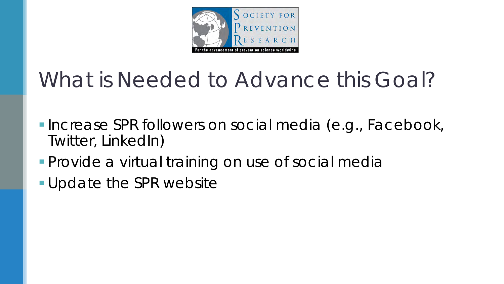

## What is Needed to Advance this Goal?

- **Increase SPR followers on social media (e.g., Facebook,** Twitter, LinkedIn)
- **Provide a virtual training on use of social media**
- **Update the SPR website**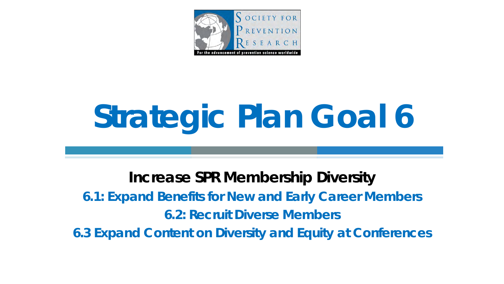

# **Strategic Plan Goal 6**

**Increase SPR Membership Diversity 6.1: Expand Benefits for New and Early Career Members 6.2: Recruit Diverse Members 6.3 Expand Content on Diversity and Equity at Conferences**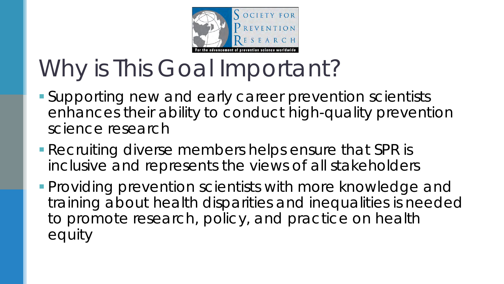

# Why is This Goal Important?

- Supporting new and early career prevention scientists enhances their ability to conduct high-quality prevention science research
- **Recruiting diverse members helps ensure that SPR is** inclusive and represents the views of all stakeholders
- **Providing prevention scientists with more knowledge and** training about health disparities and inequalities is needed to promote research, policy, and practice on health equity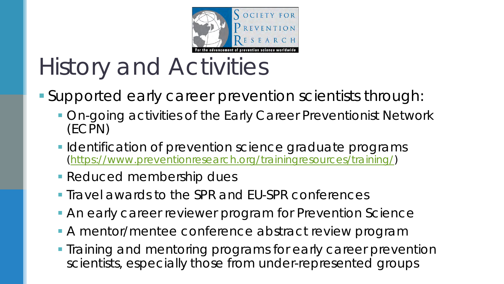

# History and Activities

- Supported early career prevention scientists through:
	- **On-going activities of the Early Career Preventionist Network** (ECPN)
	- **I** Identification of prevention science graduate programs [\(https://www.preventionresearch.org/trainingresources/training/\)](https://www.preventionresearch.org/trainingresources/training/)
	- Reduced membership dues
	- **Travel awards to the SPR and EU-SPR conferences**
	- An early career reviewer program for *Prevention Science*
	- A mentor/mentee conference abstract review program
	- **Training and mentoring programs for early career prevention** scientists, especially those from under-represented groups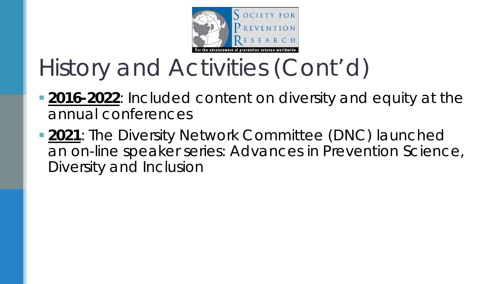

# History and Activities (Cont'd)

- **2016-2022**: Included content on diversity and equity at the annual conferences
- **2021**: The Diversity Network Committee (DNC) launched an on-line speaker series*: Advances in Prevention Science, Diversity and Inclusion*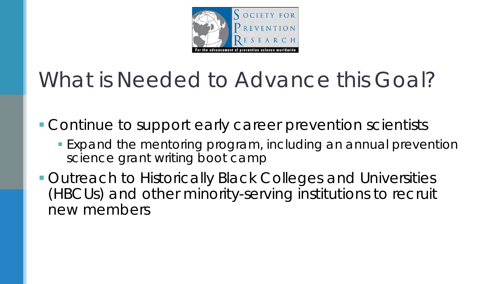

## What is Needed to Advance this Goal?

**Continue to support early career prevention scientists** 

- **Expand the mentoring program, including an annual prevention** science grant writing boot camp
- **Outreach to Historically Black Colleges and Universities** (HBCUs) and other minority-serving institutions to recruit new members